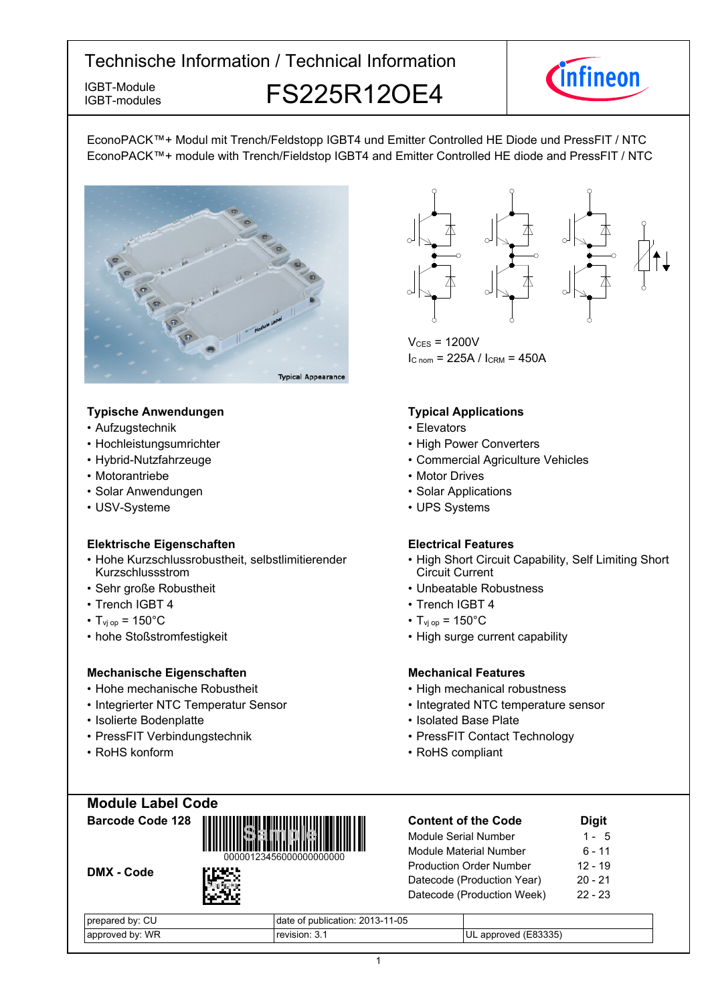IGBT-modules

IGBT-Module **FS225R12OE4** 



EconoPACK™+ Modul mit Trench/Feldstopp IGBT4 und Emitter Controlled HE Diode und PressFIT / NTC EconoPACK™+ module with Trench/Fieldstop IGBT4 and Emitter Controlled HE diode and PressFIT / NTC



#### **Typische-Anwendungen Typical-**

- Aufzugstechnik elevators
- Hochleistungsumrichter
- Hybrid-Nutzfahrzeuge
- Motorantriebe
- Solar Anwendungen Solar-
- USV-Systeme

#### **Elektrische Eigenschaften Electrical-**

- Hohe Kurzschlussrobustheit, selbstlimitierender Kurzschlussstrom
- Sehr große
- Trench IGBT
- $T_{\text{vi op}} = 150^{\circ}$ C  $T_{\text{vi}}$
- hohe-Stoßstromfestigkeit High-

#### **Mechanische Eigenschaften Mechanical-**

- Hohe-mechanische Robustheit High-
- Integrierter NTC Temperatur
- Isolierte Bodenplatte Isolated
- PressFIT Verbindungstechnik PressFIT
- RoHS konform



 $V_{CES}$  = 1200V  $I_{C n o m}$  = 225A /  $I_{C RM}$  = 450A

#### **Typical Applications**

- 
- Power Converters
- Agriculture-Vehicles
- Motor Drives
- Solar Applications
- UPS Systems

#### **Electrical Features**

- High Short Circuit Capability, Self Limiting Short Circuit Current
- Robustheit  **Unbeatable Robustness Unbeatable** Robustness
	- 4 Trench IGBT 4
		- $_{\text{op}}$  = 150 $^{\circ}$ C
		- surge current capability

#### **Mechanical Features**

- mechanical robustness
- Sensor Integrated NTC temperature sensor
	- Base-Plate
	- Contact Technology
- konform RoHS compliant

**Module-Label-Code**



DMX - Code



| <b>Content of the Code</b>     | <b>Digit</b> |
|--------------------------------|--------------|
| Module Serial Number           | $1 - 5$      |
| <b>Module Material Number</b>  | $6 - 11$     |
| <b>Production Order Number</b> | $12 - 19$    |
| Datecode (Production Year)     | $20 - 21$    |
| Datecode (Production Week)     | $22 - 23$    |
|                                |              |

| CU<br>. pv:<br>prepared | 1-05<br>∩f publication: 2013-1⊤<br>date |                      |
|-------------------------|-----------------------------------------|----------------------|
| bv: WR<br>approved      | revision: 3.1                           | UL approved (E83335) |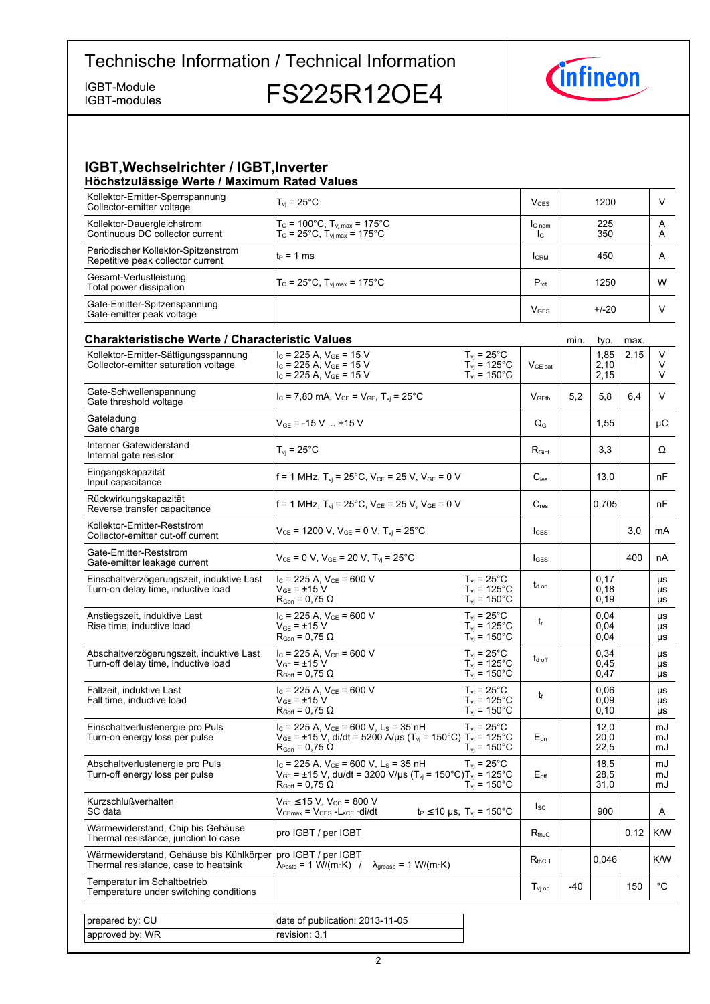IGBT-modules

IGBT-Module<br>IGBT-modules **FS225R12OE4** 



#### **IGBT, Wechselrichter / IGBT, Inverter Höchstzulässige-Werte-/-Maximum-Rated-Values**

| Kollektor-Emitter-Sperrspannung<br>Collector-emitter voltage             | $T_{vi}$ = 25 $^{\circ}$ C                                                                             | V <sub>CES</sub>       | 1200       |        |
|--------------------------------------------------------------------------|--------------------------------------------------------------------------------------------------------|------------------------|------------|--------|
| Kollektor-Dauergleichstrom<br>Continuous DC collector current            | $T_c$ = 100°C, $T_{\rm vi \, max}$ = 175°C<br>$T_c = 25^{\circ}C$ , $T_{\text{vi max}} = 175^{\circ}C$ | $IC$ nom<br>Ic.        | 225<br>350 | A<br>A |
| Periodischer Kollektor-Spitzenstrom<br>Repetitive peak collector current | $t_P = 1$ ms                                                                                           | <b>CRM</b>             | 450        | A      |
| Gesamt-Verlustleistung<br>Total power dissipation                        | $T_c = 25^{\circ}$ C, $T_{\text{vi max}} = 175^{\circ}$ C                                              | $P_{\text{tot}}$       | 1250       | W      |
| Gate-Emitter-Spitzenspannung<br>Gate-emitter peak voltage                |                                                                                                        | <b>V<sub>GES</sub></b> | $+/-20$    |        |

| <b>Charakteristische Werte / Characteristic Values</b>                          |                                                                                                                                                                                      |                                                                                |                    | min.  | typ.                  | max. |                |
|---------------------------------------------------------------------------------|--------------------------------------------------------------------------------------------------------------------------------------------------------------------------------------|--------------------------------------------------------------------------------|--------------------|-------|-----------------------|------|----------------|
| Kollektor-Emitter-Sättigungsspannung<br>Collector-emitter saturation voltage    | $I_C$ = 225 A, $V_{GE}$ = 15 V<br>$I_{C}$ = 225 A, $V_{GE}$ = 15 V<br>$I_C$ = 225 A, $V_{GE}$ = 15 V                                                                                 | $T_{vi}$ = 25°C<br>$T_{\text{vj}}$ = 125°C<br>$T_{vi}$ = 150 $^{\circ}$ C      | $V_{CE\ sat}$      |       | 1,85<br>2,10<br>2,15  | 2,15 | V<br>V<br>V    |
| Gate-Schwellenspannung<br>Gate threshold voltage                                | $I_c$ = 7,80 mA, $V_{CE}$ = $V_{GE}$ , $T_{vi}$ = 25 <sup>o</sup> C                                                                                                                  |                                                                                | V <sub>GEth</sub>  | 5,2   | 5,8                   | 6,4  | V              |
| Gateladung<br>Gate charge                                                       | $V_{GE}$ = -15 V  +15 V                                                                                                                                                              |                                                                                | $Q_{\rm G}$        |       | 1,55                  |      | μC             |
| Interner Gatewiderstand<br>Internal gate resistor                               | $T_{\rm vj}$ = 25°C                                                                                                                                                                  |                                                                                | $R_{Gint}$         |       | 3,3                   |      | Ω              |
| Eingangskapazität<br>Input capacitance                                          | f = 1 MHz, $T_{vi}$ = 25°C, $V_{CE}$ = 25 V, $V_{GE}$ = 0 V                                                                                                                          |                                                                                | $C_{\text{ies}}$   |       | 13,0                  |      | nF             |
| Rückwirkungskapazität<br>Reverse transfer capacitance                           | f = 1 MHz, T <sub>vi</sub> = 25°C, V <sub>CE</sub> = 25 V, V <sub>GE</sub> = 0 V                                                                                                     |                                                                                | $C_{res}$          |       | 0,705                 |      | nF             |
| Kollektor-Emitter-Reststrom<br>Collector-emitter cut-off current                | $V_{CE}$ = 1200 V, $V_{GE}$ = 0 V, $T_{vi}$ = 25°C                                                                                                                                   |                                                                                | $l_{CFS}$          |       |                       | 3,0  | mA             |
| Gate-Emitter-Reststrom<br>Gate-emitter leakage current                          | $V_{CE}$ = 0 V, $V_{GE}$ = 20 V, T <sub>vi</sub> = 25°C                                                                                                                              |                                                                                | $I_{\text{GES}}$   |       |                       | 400  | nA             |
| Einschaltverzögerungszeit, induktive Last<br>Turn-on delay time, inductive load | $I_{C}$ = 225 A, $V_{CE}$ = 600 V<br>$V_{GF} = \pm 15 V$<br>$R_{\text{Gon}} = 0.75 \Omega$                                                                                           | $T_{vj} = 25^{\circ}$ C<br>$T_{vj} = 125^{\circ}$ C<br>$T_{\text{vj}}$ = 150°C | $t_{d \text{ on}}$ |       | 0,17<br>0,18<br>0,19  |      | μs<br>μs<br>μs |
| Anstiegszeit, induktive Last<br>Rise time, inductive load                       | $I_C = 225 A$ , $V_{CE} = 600 V$<br>$V_{GF} = \pm 15 V$<br>$R_{\text{Gon}}$ = 0,75 $\Omega$                                                                                          | $T_{vi}$ = 25 $^{\circ}$ C<br>$T_{vi}$ = 125°C<br>$T_{vi}$ = 150 $^{\circ}$ C  | $t_{r}$            |       | 0.04<br>0,04<br>0,04  |      | μs<br>μs<br>μs |
| Abschaltverzögerungszeit, induktive Last<br>Turn-off delay time, inductive load | $I_c$ = 225 A, $V_{CE}$ = 600 V<br>$V_{GF}$ = $\pm 15$ V<br>$R_{\text{Goff}}$ = 0,75 $\Omega$                                                                                        | $T_{vi}$ = 25°C<br>$T_{vi}$ = 125 $^{\circ}$ C<br>$T_{vi}$ = 150 $^{\circ}$ C  | $t_{\text{d off}}$ |       | 0,34<br>0,45<br>0,47  |      | μs<br>μs<br>μs |
| Fallzeit, induktive Last<br>Fall time, inductive load                           | $I_c = 225$ A, $V_{CE} = 600$ V<br>$V_{GF} = \pm 15 V$<br>$R_{Goff}$ = 0,75 $\Omega$                                                                                                 | $T_{vi}$ = 25 $^{\circ}$ C<br>$T_{vi}$ = 125°C<br>$T_{\rm vj}$ = 150°C         | t                  |       | 0,06<br>0,09<br>0, 10 |      | μs<br>μs<br>μs |
| Einschaltverlustenergie pro Puls<br>Turn-on energy loss per pulse               | $I_c$ = 225 A, $V_{CE}$ = 600 V, L <sub>s</sub> = 35 nH<br>$V_{GE}$ = ±15 V, di/dt = 5200 A/µs (T <sub>vj</sub> = 150°C) T <sub>vj</sub> = 125°C<br>$R_{\text{Gon}}$ = 0.75 $\Omega$ | $T_{vi}$ = 25 $^{\circ}$ C<br>$T_{vi}$ = 150 $^{\circ}$ C                      | $E_{on}$           |       | 12,0<br>20,0<br>22,5  |      | mJ<br>mJ<br>mJ |
| Abschaltverlustenergie pro Puls<br>Turn-off energy loss per pulse               | $I_c$ = 225 A, $V_{ce}$ = 600 V, L <sub>s</sub> = 35 nH<br>$V_{GE}$ = ±15 V, du/dt = 3200 V/µs (T <sub>vj</sub> = 150°C)T <sub>vj</sub> = 125°C<br>$R_{Goff}$ = 0,75 $\Omega$        | $T_{vi}$ = 25 $^{\circ}$ C<br>$T_{\rm{vj}}$ = 150 $^{\circ}$ C                 | $E_{\text{off}}$   |       | 18,5<br>28,5<br>31,0  |      | mJ<br>mJ<br>mJ |
| Kurzschlußverhalten<br>SC data                                                  | $V_{GE}$ $\leq$ 15 V, V <sub>CC</sub> = 800 V<br>$V_{CEmax} = V_{CES} - L_{sCE} \cdot di/dt$                                                                                         | $t_P \le 10 \text{ }\mu\text{s}, \text{ } T_{\text{vj}} = 150^{\circ}\text{C}$ | $I_{SC}$           |       | 900                   |      | A              |
| Wärmewiderstand, Chip bis Gehäuse<br>Thermal resistance, junction to case       | pro IGBT / per IGBT                                                                                                                                                                  |                                                                                | $R_{thJC}$         |       |                       | 0,12 | K/W            |
| Wärmewiderstand, Gehäuse bis Kühlkörper<br>Thermal resistance, case to heatsink | pro IGBT / per IGBT<br>$\lambda_{\text{Paste}} = 1 \text{ W/(m} \cdot \text{K)}$ /<br>$\lambda_{\text{grease}} = 1 \text{ W/(m·K)}$                                                  |                                                                                | $R_{thCH}$         |       | 0,046                 |      | K/W            |
| Temperatur im Schaltbetrieb<br>Temperature under switching conditions           |                                                                                                                                                                                      |                                                                                | $T_{\text{vj op}}$ | $-40$ |                       | 150  | °C             |
|                                                                                 |                                                                                                                                                                                      |                                                                                |                    |       |                       |      |                |
| prepared by: CU                                                                 | date of publication: 2013-11-05                                                                                                                                                      |                                                                                |                    |       |                       |      |                |
| approved by: WR                                                                 | revision: 3.1                                                                                                                                                                        |                                                                                |                    |       |                       |      |                |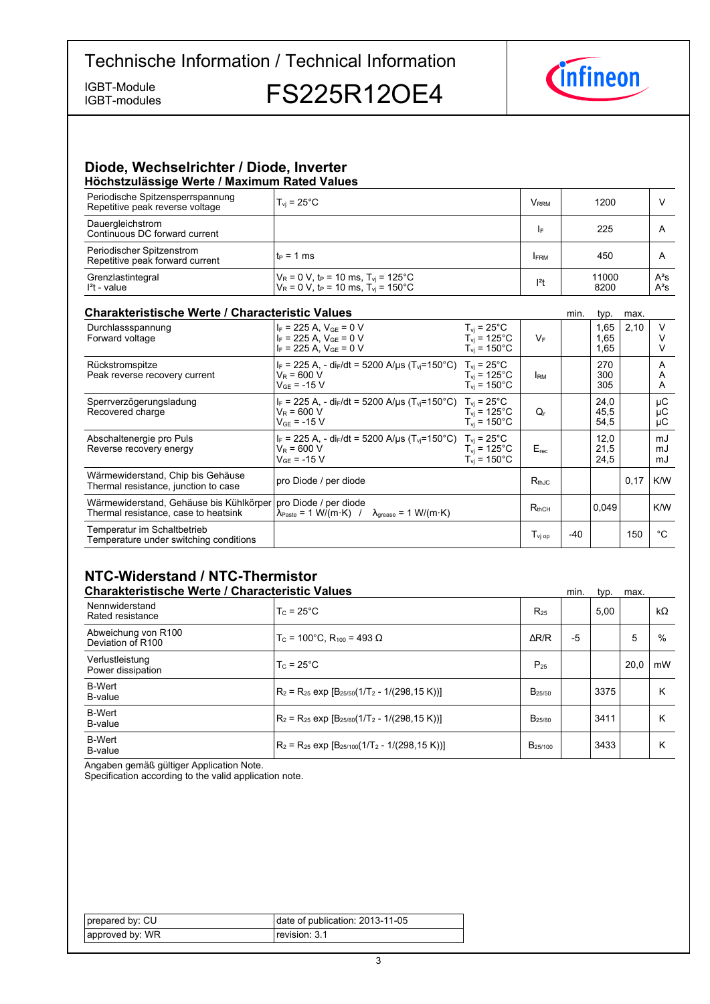IGBT-modules

IGBT-Module<br>IGBT-modules **FS225R12OE4** 



#### **Diode,-Wechselrichter-/-Diode,-Inverter Höchstzulässige-Werte-/-Maximum-Rated-Values**

| Periodische Spitzensperrspannung<br>Repetitive peak reverse voltage | $T_{\rm vi}$ = 25°C                                                                                                          | <b>V</b> <sub>RRM</sub> | 1200          |                  |
|---------------------------------------------------------------------|------------------------------------------------------------------------------------------------------------------------------|-------------------------|---------------|------------------|
| Dauergleichstrom<br>Continuous DC forward current                   |                                                                                                                              | I۴                      | 225           |                  |
| Periodischer Spitzenstrom<br>Repetitive peak forward current        | lt∍ = 1 ms                                                                                                                   | <b>FRM</b>              | 450           |                  |
| Grenzlastintegral<br>$I2t$ - value                                  | $V_R$ = 0 V, t <sub>P</sub> = 10 ms, T <sub>vi</sub> = 125°C<br>$V_R = 0$ V, t <sub>P</sub> = 10 ms, T <sub>vi</sub> = 150°C | $12$ t                  | 11000<br>8200 | $A^2S$<br>$A^2S$ |

#### **Charakteristische Werte / Characteristic**

| <b>Charakteristische Werte / Characteristic Values</b>                                                  |                                                                                                                                       |                                                                                      |                   | min.  | typ.                 | max. |                |
|---------------------------------------------------------------------------------------------------------|---------------------------------------------------------------------------------------------------------------------------------------|--------------------------------------------------------------------------------------|-------------------|-------|----------------------|------|----------------|
| Durchlassspannung<br>Forward voltage                                                                    | $I_F = 225$ A, $V_{GF} = 0$ V<br>$I_F = 225$ A, $V_{GF} = 0$ V<br>$I_F$ = 225 A, $V_{GE}$ = 0 V                                       | $T_{vi}$ = 25 $^{\circ}$ C<br>$T_{vi}$ = 125°C<br>$T_{\text{vi}}$ = 150 $^{\circ}$ C | $V_F$             |       | 1,65<br>1.65<br>1,65 | 2,10 |                |
| Rückstromspitze<br>Peak reverse recovery current                                                        | $I_F = 225$ A, - di <sub>F</sub> /dt = 5200 A/us (T <sub>vi</sub> =150°C) T <sub>vi</sub> = 25°C<br>$V_R = 600 V$<br>$V_{GF}$ = -15 V | $T_{\rm vi}$ = 125°C<br>$T_{\rm vi}$ = 150°C                                         | <b>IRM</b>        |       | 270<br>300<br>305    |      | A<br>A<br>A    |
| Sperrverzögerungsladung<br>Recovered charge                                                             | $I_F = 225$ A, - dir/dt = 5200 A/us (T <sub>vi</sub> =150°C) T <sub>vi</sub> = 25°C<br>$V_R = 600 V$<br>$V_{GF}$ = -15 V              | $T_{\rm vi}$ = 125°C<br>$T_{vi}$ = 150 $^{\circ}$ C                                  | Q,                |       | 24,0<br>45,5<br>54,5 |      | μC<br>μC<br>μC |
| Abschaltenergie pro Puls<br>Reverse recovery energy                                                     | $I_F = 225$ A, - di <sub>F</sub> /dt = 5200 A/us (T <sub>vi</sub> =150°C) T <sub>vi</sub> = 25°C<br>$V_R$ = 600 V<br>$V_{GF}$ = -15 V | $T_{vi}$ = 125°C<br>$T_{\rm vi}$ = 150 $^{\circ}$ C                                  | $E_{rec}$         |       | 12,0<br>21,5<br>24,5 |      | mJ<br>mJ<br>mJ |
| Wärmewiderstand, Chip bis Gehäuse<br>Thermal resistance, junction to case                               | pro Diode / per diode                                                                                                                 |                                                                                      | $R_{thJC}$        |       |                      | 0,17 | K/W            |
| Wärmewiderstand, Gehäuse bis Kühlkörper   pro Diode / per diode<br>Thermal resistance, case to heatsink | $\lambda_{\text{Paste}} = 1 \text{ W/(m} \cdot \text{K)}$ / $\lambda_{\text{grease}} = 1 \text{ W/(m} \cdot \text{K)}$                |                                                                                      | $R_{thCH}$        |       | 0.049                |      | K/W            |
| Temperatur im Schaltbetrieb<br>Temperature under switching conditions                                   |                                                                                                                                       |                                                                                      | $T_{\rm vi\, oo}$ | $-40$ |                      | 150  | °€             |

## **NTC-Widerstand-/-NTC-Thermistor**

|                                          | <b>Charakteristische Werte / Characteristic Values</b>   |                     |    |      | max. |           |
|------------------------------------------|----------------------------------------------------------|---------------------|----|------|------|-----------|
| Nennwiderstand<br>Rated resistance       | $T_c = 25^{\circ}$ C                                     | $R_{25}$            |    | 5.00 |      | $k\Omega$ |
| Abweichung von R100<br>Deviation of R100 | $T_c$ = 100°C. R <sub>100</sub> = 493 Ω                  | $\Delta$ R/R        | -5 |      | 5    | $\%$      |
| Verlustleistung<br>Power dissipation     | $T_c = 25^{\circ}$ C                                     | $P_{25}$            |    |      | 20.0 | mW        |
| <b>B-Wert</b><br>B-value                 | $R_2 = R_{25}$ exp $[B_{25/50}(1/T_2 - 1/(298, 15 K))]$  | $B_{25/50}$         |    | 3375 |      | К         |
| <b>B-Wert</b><br>B-value                 | $R_2 = R_{25}$ exp $[B_{25/80}(1/T_2 - 1/(298.15 K))]$   | B <sub>25/80</sub>  |    | 3411 |      | К         |
| <b>B-Wert</b><br>B-value                 | $R_2 = R_{25}$ exp $[B_{25/100}(1/T_2 - 1/(298, 15 K))]$ | B <sub>25/100</sub> |    | 3433 |      | К         |

Angaben gemäß gültiger Application Note.

Specification according to the valid application note.

| prepared by: CU | date of publication: 2013-11-05 |
|-----------------|---------------------------------|
| approved by: WR | revision: 3.1                   |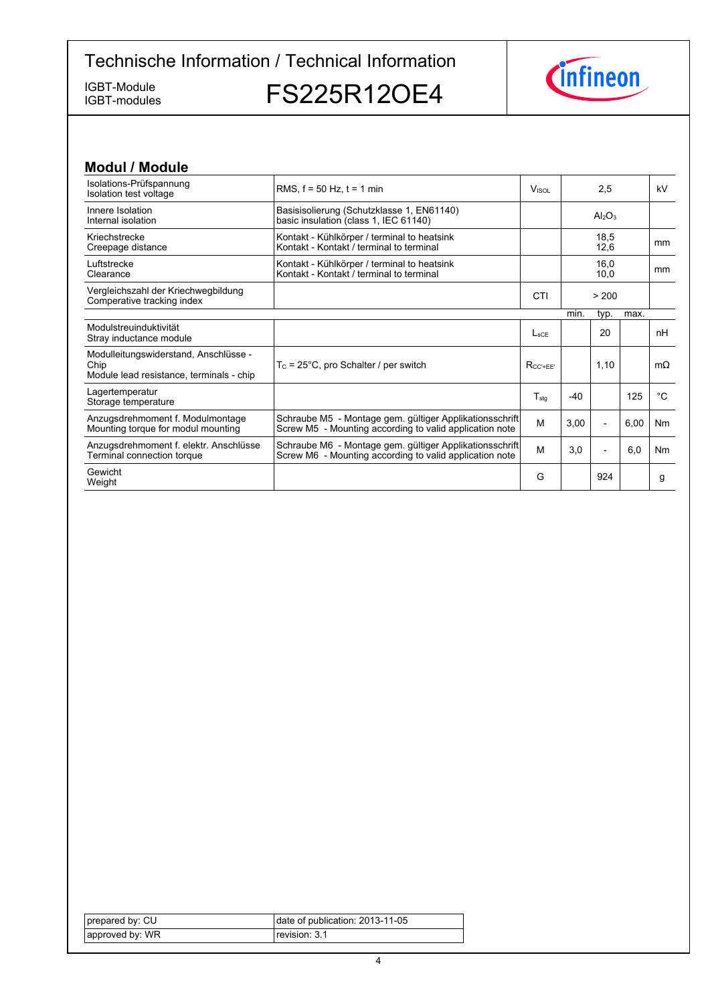IGBT-modules

IGBT-Module<br>IGBT-modules FS225R12OE4



| <b>Modul / Module</b>                                                                     |                                                                                                                    |                          |       |                                |      |             |
|-------------------------------------------------------------------------------------------|--------------------------------------------------------------------------------------------------------------------|--------------------------|-------|--------------------------------|------|-------------|
| Isolations-Prüfspannung<br>Isolation test voltage                                         | RMS, $f = 50$ Hz, $t = 1$ min                                                                                      | <b>V</b> <sub>ISOL</sub> |       | 2,5                            |      | kV          |
| Innere Isolation<br>Internal isolation                                                    | Basisisolierung (Schutzklasse 1, EN61140)<br>basic insulation (class 1, IEC 61140)                                 |                          |       | Al <sub>2</sub> O <sub>3</sub> |      |             |
| Kriechstrecke<br>Creepage distance                                                        | Kontakt - Kühlkörper / terminal to heatsink<br>Kontakt - Kontakt / terminal to terminal                            |                          |       | 18.5<br>12,6                   |      | mm          |
| Luftstrecke<br>Clearance                                                                  | Kontakt - Kühlkörper / terminal to heatsink<br>Kontakt - Kontakt / terminal to terminal                            |                          |       | 16,0<br>10,0                   |      | mm          |
| Vergleichszahl der Kriechwegbildung<br>Comperative tracking index                         |                                                                                                                    | CTI                      |       | > 200                          |      |             |
|                                                                                           |                                                                                                                    |                          | min.  | typ.                           | max. |             |
| Modulstreuinduktivität<br>Stray inductance module                                         |                                                                                                                    | $L_{\rm sCF}$            |       | 20                             |      | nH          |
| Modulleitungswiderstand, Anschlüsse -<br>Chip<br>Module lead resistance, terminals - chip | $T_c = 25^{\circ}$ C, pro Schalter / per switch                                                                    | $R_{CC'+EE'}$            |       | 1,10                           |      | $m\Omega$   |
| Lagertemperatur<br>Storage temperature                                                    |                                                                                                                    | $T_{\text{stq}}$         | $-40$ |                                | 125  | $^{\circ}C$ |
| Anzugsdrehmoment f. Modulmontage<br>Mounting torque for modul mounting                    | Schraube M5 - Montage gem. gültiger Applikationsschrift<br>Screw M5 - Mounting according to valid application note | M                        | 3,00  | $\overline{\phantom{a}}$       | 6,00 | Nm          |
| Anzugsdrehmoment f. elektr. Anschlüsse<br>Terminal connection torque                      | Schraube M6 - Montage gem. gültiger Applikationsschrift<br>Screw M6 - Mounting according to valid application note | M                        | 3,0   | $\overline{\phantom{a}}$       | 6,0  | Nm          |
| Gewicht<br>Weight                                                                         |                                                                                                                    | G                        |       | 924                            |      | g           |

| prepared by: CU | date of publication: 2013-11-05 |
|-----------------|---------------------------------|
| approved by: WR | revision: 3.1                   |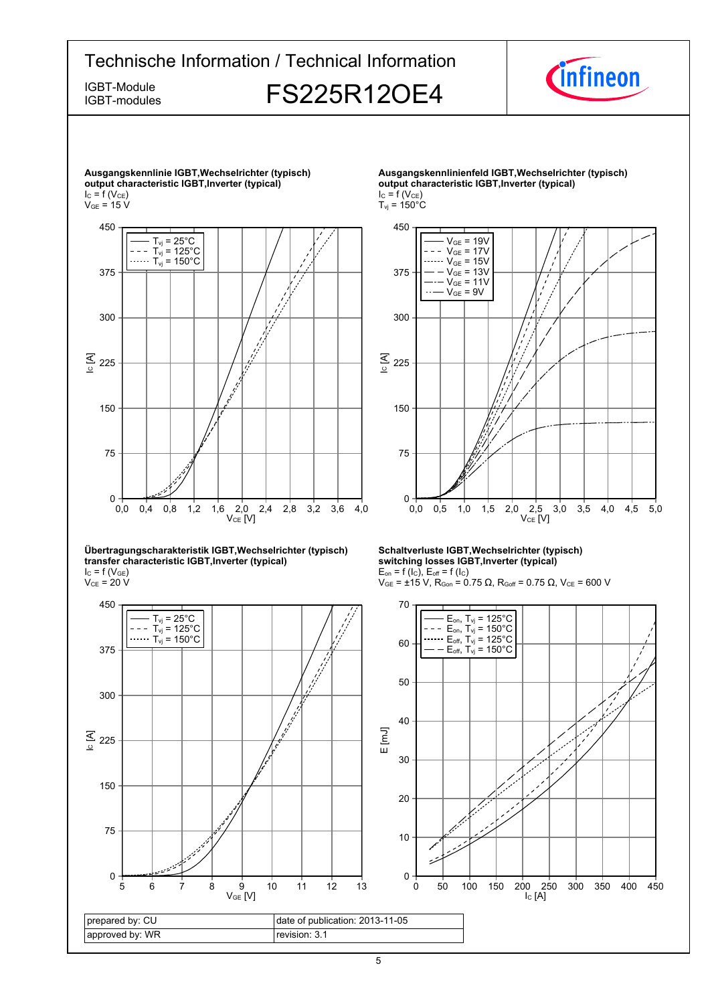

5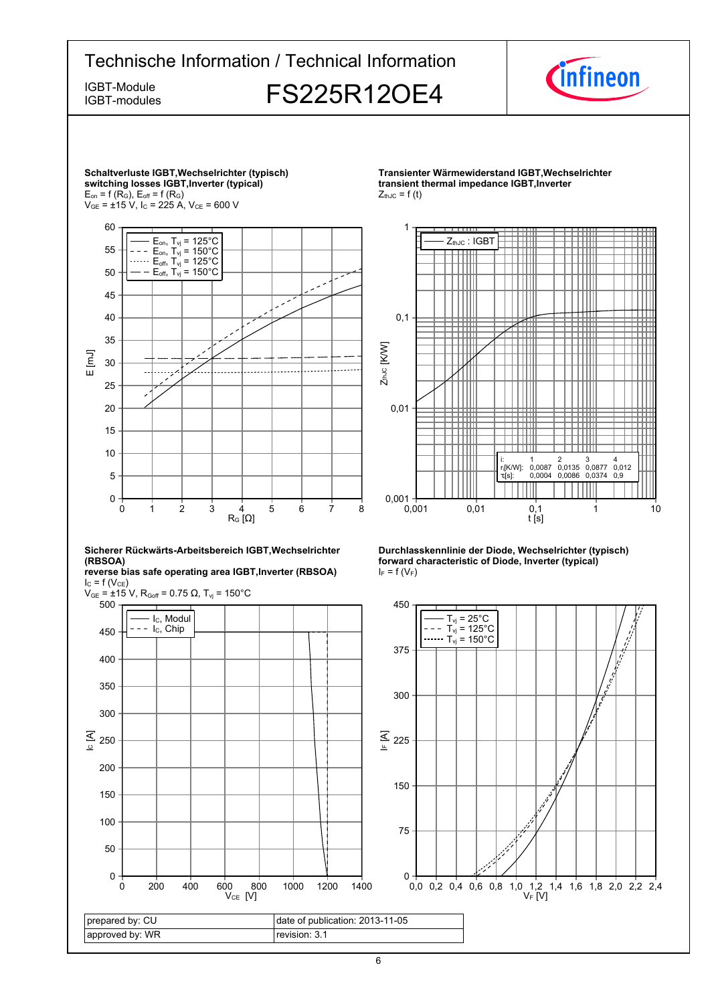



revision: 3.1

 $V_{CE}$  [V]

prepared by: CU approved by: WR

0

50

 $V_F$  [V]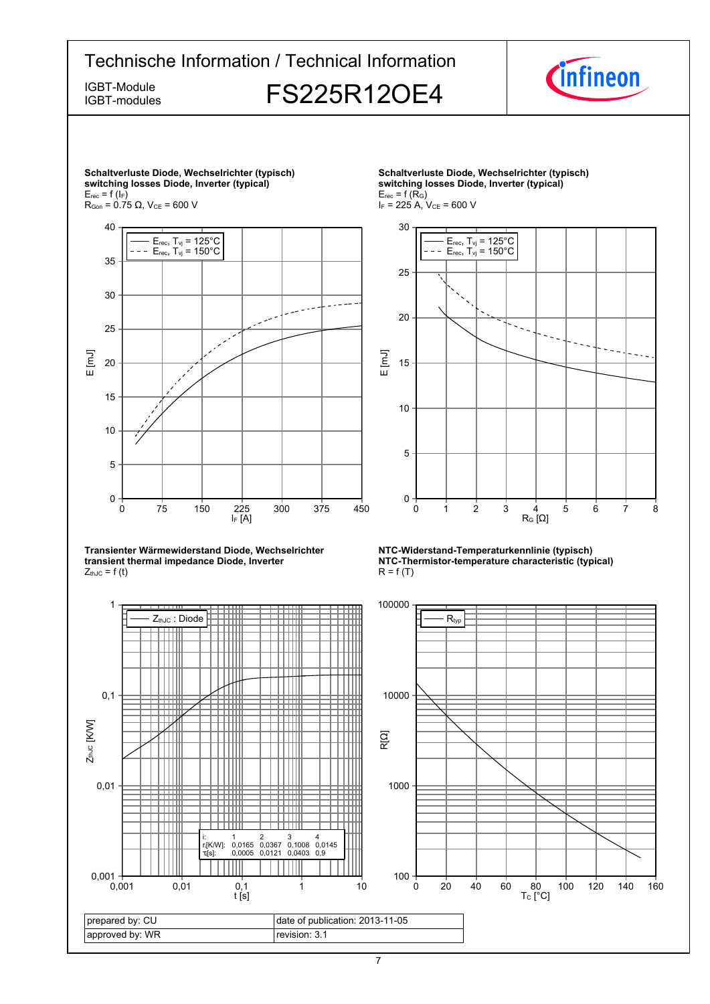

7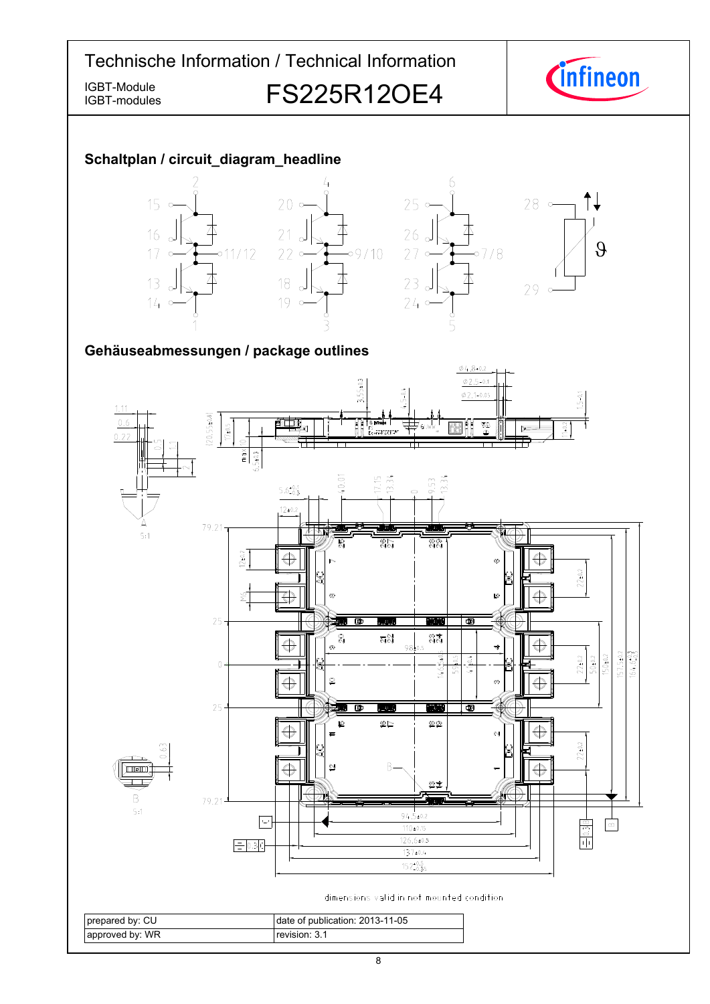IGBT-modules

IGBT-Module<br>IGBT-modules **FS225R12OE4** 



### **Schaltplan-/-circuit\_diagram\_headline**



### Gehäuseabmessungen / package outlines